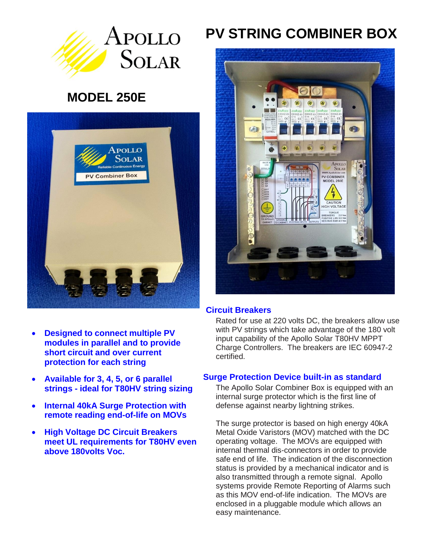

## **MODEL 250E**



- **Designed to connect multiple PV modules in parallel and to provide short circuit and over current protection for each string**
- **Available for 3, 4, 5, or 6 parallel strings - ideal for T80HV string sizing**
- **Internal 40kA Surge Protection with remote reading end-of-life on MOVs**
- **High Voltage DC Circuit Breakers meet UL requirements for T80HV even above 180volts Voc.**

# **PV STRING COMBINER BOX**



#### **Circuit Breakers**

Rated for use at 220 volts DC, the breakers allow use with PV strings which take advantage of the 180 volt input capability of the Apollo Solar T80HV MPPT Charge Controllers. The breakers are IEC 60947-2 certified.

#### **Surge Protection Device built-in as standard**

The Apollo Solar Combiner Box is equipped with an internal surge protector which is the first line of defense against nearby lightning strikes.

The surge protector is based on high energy 40kA Metal Oxide Varistors (MOV) matched with the DC operating voltage. The MOVs are equipped with internal thermal dis-connectors in order to provide safe end of life. The indication of the disconnection status is provided by a mechanical indicator and is also transmitted through a remote signal. Apollo systems provide Remote Reporting of Alarms such as this MOV end-of-life indication. The MOVs are enclosed in a pluggable module which allows an easy maintenance.